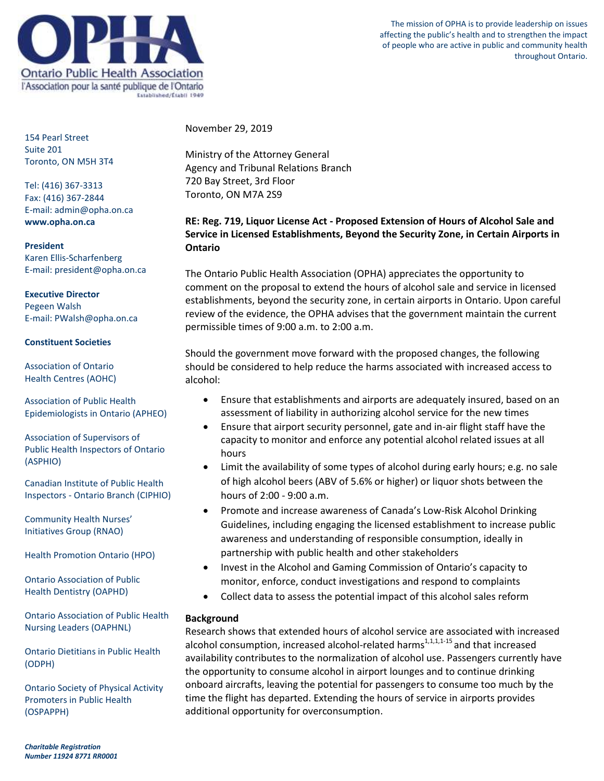

The mission of OPHA is to provide leadership on issues affecting the public's health and to strengthen the impact of people who are active in public and community health throughout Ontario.

154 Pearl Street Suite 201 Toronto, ON M5H 3T4

Tel: (416) 367-3313 Fax: (416) 367-2844 E-mail: admin@opha.on.ca **www.opha.on.ca**

**President** Karen Ellis-Scharfenberg E-mail: president@opha.on.ca

**Executive Director** Pegeen Walsh E-mail: PWalsh@opha.on.ca

## **Constituent Societies**

Association of Ontario Health Centres (AOHC)

Association of Public Health Epidemiologists in Ontario (APHEO)

Association of Supervisors of Public Health Inspectors of Ontario (ASPHIO)

Canadian Institute of Public Health Inspectors - Ontario Branch (CIPHIO)

Community Health Nurses' Initiatives Group (RNAO)

Health Promotion Ontario (HPO)

Ontario Association of Public Health Dentistry (OAPHD)

Ontario Association of Public Health Nursing Leaders (OAPHNL)

Ontario Dietitians in Public Health (ODPH)

Ontario Society of Physical Activity Promoters in Public Health (OSPAPPH)

November 29, 2019

Ministry of the Attorney General Agency and Tribunal Relations Branch 720 Bay Street, 3rd Floor Toronto, ON M7A 2S9

# **RE: Reg. 719, Liquor License Act - Proposed Extension of Hours of Alcohol Sale and Service in Licensed Establishments, Beyond the Security Zone, in Certain Airports in Ontario**

The Ontario Public Health Association (OPHA) appreciates the opportunity to comment on the proposal to extend the hours of alcohol sale and service in licensed establishments, beyond the security zone, in certain airports in Ontario. Upon careful review of the evidence, the OPHA advises that the government maintain the current permissible times of 9:00 a.m. to 2:00 a.m.

Should the government move forward with the proposed changes, the following should be considered to help reduce the harms associated with increased access to alcohol:

- Ensure that establishments and airports are adequately insured, based on an assessment of liability in authorizing alcohol service for the new times
- Ensure that airport security personnel, gate and in-air flight staff have the capacity to monitor and enforce any potential alcohol related issues at all hours
- Limit the availability of some types of alcohol during early hours; e.g. no sale of high alcohol beers (ABV of 5.6% or higher) or liquor shots between the hours of 2:00 - 9:00 a.m.
- Promote and increase awareness of Canada's Low-Risk Alcohol Drinking Guidelines, including engaging the licensed establishment to increase public awareness and understanding of responsible consumption, ideally in partnership with public health and other stakeholders
- Invest in the Alcohol and Gaming Commission of Ontario's capacity to monitor, enforce, conduct investigations and respond to complaints
- Collect data to assess the potential impact of this alcohol sales reform

# **Background**

Research shows that extended hours of alcohol service are associated with increased alcohol consumption, increased alcohol-related harms $1,1,1,1.1$  and that increased availability contributes to the normalization of alcohol use. Passengers currently have the opportunity to consume alcohol in airport lounges and to continue drinking onboard aircrafts, leaving the potential for passengers to consume too much by the time the flight has departed. Extending the hours of service in airports provides additional opportunity for overconsumption.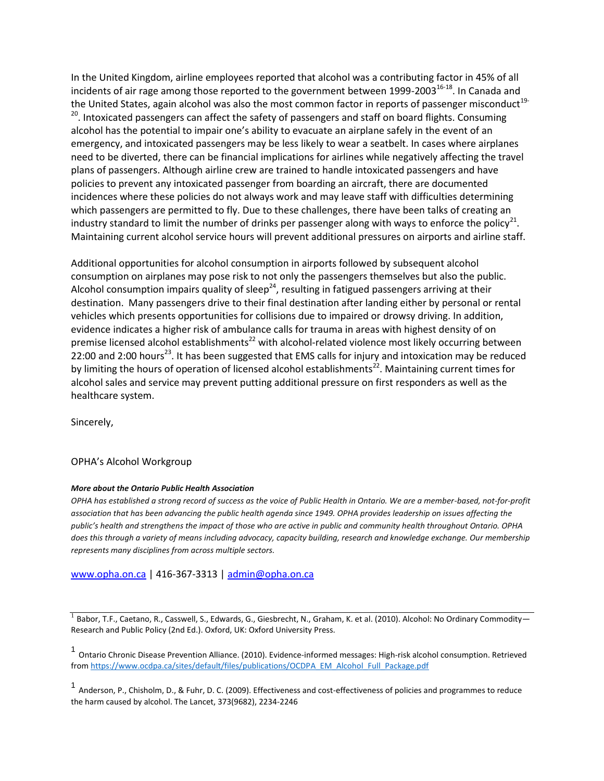In the United Kingdom, airline employees reported that alcohol was a contributing factor in 45% of all incidents of air rage among those reported to the government between 1999-2003<sup>16-18</sup>. In Canada and the United States, again alcohol was also the most common factor in reports of passenger misconduct<sup>19-</sup> <sup>20</sup>. Intoxicated passengers can affect the safety of passengers and staff on board flights. Consuming alcohol has the potential to impair one's ability to evacuate an airplane safely in the event of an emergency, and intoxicated passengers may be less likely to wear a seatbelt. In cases where airplanes need to be diverted, there can be financial implications for airlines while negatively affecting the travel plans of passengers. Although airline crew are trained to handle intoxicated passengers and have policies to prevent any intoxicated passenger from boarding an aircraft, there are documented incidences where these policies do not always work and may leave staff with difficulties determining which passengers are permitted to fly. Due to these challenges, there have been talks of creating an industry standard to limit the number of drinks per passenger along with ways to enforce the policy<sup>21</sup>. Maintaining current alcohol service hours will prevent additional pressures on airports and airline staff.

Additional opportunities for alcohol consumption in airports followed by subsequent alcohol consumption on airplanes may pose risk to not only the passengers themselves but also the public. Alcohol consumption impairs quality of sleep<sup>24</sup>, resulting in fatigued passengers arriving at their destination. Many passengers drive to their final destination after landing either by personal or rental vehicles which presents opportunities for collisions due to impaired or drowsy driving. In addition, evidence indicates a higher risk of ambulance calls for trauma in areas with highest density of on premise licensed alcohol establishments<sup>22</sup> with alcohol-related violence most likely occurring between 22:00 and 2:00 hours<sup>23</sup>. It has been suggested that EMS calls for injury and intoxication may be reduced by limiting the hours of operation of licensed alcohol establishments<sup>22</sup>. Maintaining current times for alcohol sales and service may prevent putting additional pressure on first responders as well as the healthcare system.

Sincerely,

## OPHA's Alcohol Workgroup

#### *More about the Ontario Public Health Association*

*OPHA has established a strong record of success as the voice of Public Health in Ontario. We are a member-based, not-for-profit association that has been advancing the public health agenda since 1949. OPHA provides leadership on issues affecting the public's health and strengthens the impact of those who are active in public and community health throughout Ontario. OPHA does this through a variety of means including advocacy, capacity building, research and knowledge exchange. Our membership represents many disciplines from across multiple sectors.* 

[www.opha.on.ca](http://www.opha.on.ca/) | 416-367-3313 [| admin@opha.on.ca](mailto:admin@opha.on.ca)

 $^1$  Babor, T.F., Caetano, R., Casswell, S., Edwards, G., Giesbrecht, N., Graham, K. et al. (2010). Alcohol: No Ordinary Commodity— Research and Public Policy (2nd Ed.). Oxford, UK: Oxford University Press.

1 Ontario Chronic Disease Prevention Alliance. (2010). Evidence-informed messages: High-risk alcohol consumption. Retrieved from [https://www.ocdpa.ca/sites/default/files/publications/OCDPA\\_EM\\_Alcohol\\_Full\\_Package.pdf](https://www.ocdpa.ca/sites/default/files/publications/OCDPA_EM_Alcohol_Full_Package.pdf)

1 Anderson, P., Chisholm, D., & Fuhr, D. C. (2009). Effectiveness and cost-effectiveness of policies and programmes to reduce the harm caused by alcohol. The Lancet, 373(9682), 2234-2246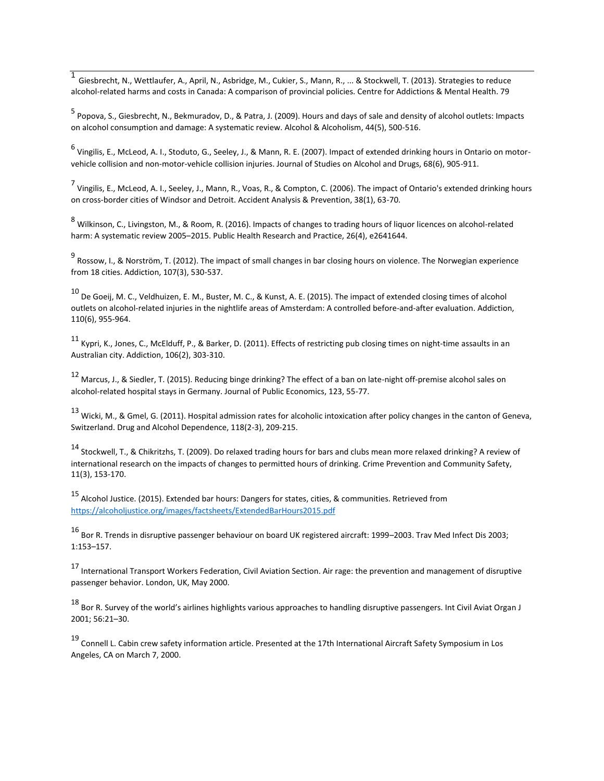1 Giesbrecht, N., Wettlaufer, A., April, N., Asbridge, M., Cukier, S., Mann, R., ... & Stockwell, T. (2013). Strategies to reduce alcohol-related harms and costs in Canada: A comparison of provincial policies. Centre for Addictions & Mental Health. 79

<sup>5</sup> Popova, S., Giesbrecht, N., Bekmuradov, D., & Patra, J. (2009). Hours and days of sale and density of alcohol outlets: Impacts on alcohol consumption and damage: A systematic review. Alcohol & Alcoholism, 44(5), 500-516.

<sup>6</sup> Vingilis, E., McLeod, A. I., Stoduto, G., Seeley, J., & Mann, R. E. (2007). Impact of extended drinking hours in Ontario on motorvehicle collision and non-motor-vehicle collision injuries. Journal of Studies on Alcohol and Drugs, 68(6), 905-911.

7<br>Vingilis, E., McLeod, A. I., Seeley, J., Mann, R., Voas, R., & Compton, C. (2006). The impact of Ontario's extended drinking hours on cross-border cities of Windsor and Detroit. Accident Analysis & Prevention, 38(1), 63-70.

<sup>8</sup> Wilkinson, C., Livingston, M., & Room, R. (2016). Impacts of changes to trading hours of liquor licences on alcohol-related harm: A systematic review 2005–2015. Public Health Research and Practice, 26(4), e2641644.

<sup>9</sup> Rossow, I., & Norström, T. (2012). The impact of small changes in bar closing hours on violence. The Norwegian experience from 18 cities. Addiction, 107(3), 530-537.

<sup>10</sup> De Goeij, M. C., Veldhuizen, E. M., Buster, M. C., & Kunst, A. E. (2015). The impact of extended closing times of alcohol outlets on alcohol-related injuries in the nightlife areas of Amsterdam: A controlled before-and-after evaluation. Addiction, 110(6), 955-964.

11 Kypri, K., Jones, C., McElduff, P., & Barker, D. (2011). Effects of restricting pub closing times on night-time assaults in an Australian city. Addiction, 106(2), 303-310.

<sup>12</sup> Marcus, J., & Siedler, T. (2015). Reducing binge drinking? The effect of a ban on late-night off-premise alcohol sales on alcohol-related hospital stays in Germany. Journal of Public Economics, 123, 55-77.

 $^{13}$  Wicki, M., & Gmel, G. (2011). Hospital admission rates for alcoholic intoxication after policy changes in the canton of Geneva, Switzerland. Drug and Alcohol Dependence, 118(2-3), 209-215.

<sup>14</sup> Stockwell, T., & Chikritzhs, T. (2009). Do relaxed trading hours for bars and clubs mean more relaxed drinking? A review of international research on the impacts of changes to permitted hours of drinking. Crime Prevention and Community Safety, 11(3), 153-170.

<sup>15</sup> Alcohol Justice. (2015). Extended bar hours: Dangers for states, cities, & communities. Retrieved from <https://alcoholjustice.org/images/factsheets/ExtendedBarHours2015.pdf>

<sup>16</sup> Bor R. Trends in disruptive passenger behaviour on board UK registered aircraft: 1999–2003. Trav Med Infect Dis 2003; 1:153–157.

<sup>17</sup> International Transport Workers Federation, Civil Aviation Section. Air rage: the prevention and management of disruptive passenger behavior. London, UK, May 2000.

18 Bor R. Survey of the world's airlines highlights various approaches to handling disruptive passengers. Int Civil Aviat Organ J 2001; 56:21–30.

<sup>19</sup> Connell L. Cabin crew safety information article. Presented at the 17th International Aircraft Safety Symposium in Los Angeles, CA on March 7, 2000.